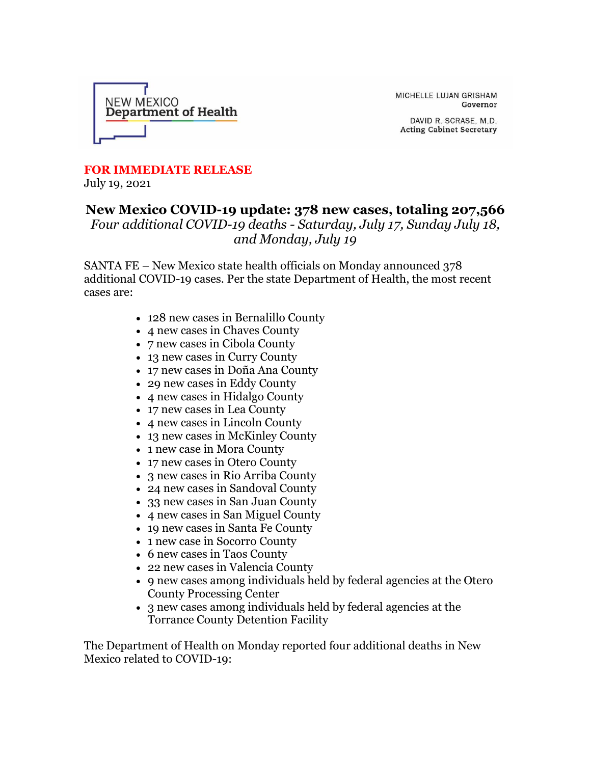

MICHELLE LUJAN GRISHAM Governor

DAVID R. SCRASE, M.D. **Acting Cabinet Secretary** 

## **FOR IMMEDIATE RELEASE**

July 19, 2021

## **New Mexico COVID-19 update: 378 new cases, totaling 207,566** *Four additional COVID-19 deaths - Saturday, July 17, Sunday July 18, and Monday, July 19*

SANTA FE – New Mexico state health officials on Monday announced 378 additional COVID-19 cases. Per the state Department of Health, the most recent cases are:

- 128 new cases in Bernalillo County
- 4 new cases in Chaves County
- 7 new cases in Cibola County
- 13 new cases in Curry County
- 17 new cases in Doña Ana County
- 29 new cases in Eddy County
- 4 new cases in Hidalgo County
- 17 new cases in Lea County
- 4 new cases in Lincoln County
- 13 new cases in McKinley County
- 1 new case in Mora County
- 17 new cases in Otero County
- 3 new cases in Rio Arriba County
- 24 new cases in Sandoval County
- 33 new cases in San Juan County
- 4 new cases in San Miguel County
- 19 new cases in Santa Fe County
- 1 new case in Socorro County
- 6 new cases in Taos County
- 22 new cases in Valencia County
- 9 new cases among individuals held by federal agencies at the Otero County Processing Center
- 3 new cases among individuals held by federal agencies at the Torrance County Detention Facility

The Department of Health on Monday reported four additional deaths in New Mexico related to COVID-19: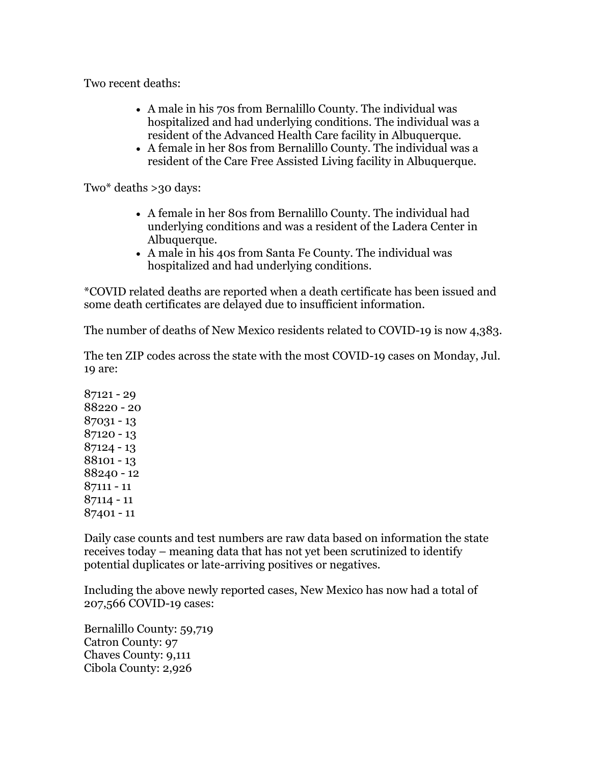Two recent deaths:

- A male in his 70s from Bernalillo County. The individual was hospitalized and had underlying conditions. The individual was a resident of the Advanced Health Care facility in Albuquerque.
- A female in her 80s from Bernalillo County. The individual was a resident of the Care Free Assisted Living facility in Albuquerque.

Two\* deaths >30 days:

- A female in her 80s from Bernalillo County. The individual had underlying conditions and was a resident of the Ladera Center in Albuquerque.
- A male in his 40s from Santa Fe County. The individual was hospitalized and had underlying conditions.

\*COVID related deaths are reported when a death certificate has been issued and some death certificates are delayed due to insufficient information.

The number of deaths of New Mexico residents related to COVID-19 is now 4,383.

The ten ZIP codes across the state with the most COVID-19 cases on Monday, Jul. 19 are:

Daily case counts and test numbers are raw data based on information the state receives today – meaning data that has not yet been scrutinized to identify potential duplicates or late-arriving positives or negatives.

Including the above newly reported cases, New Mexico has now had a total of 207,566 COVID-19 cases:

Bernalillo County: 59,719 Catron County: 97 Chaves County: 9,111 Cibola County: 2,926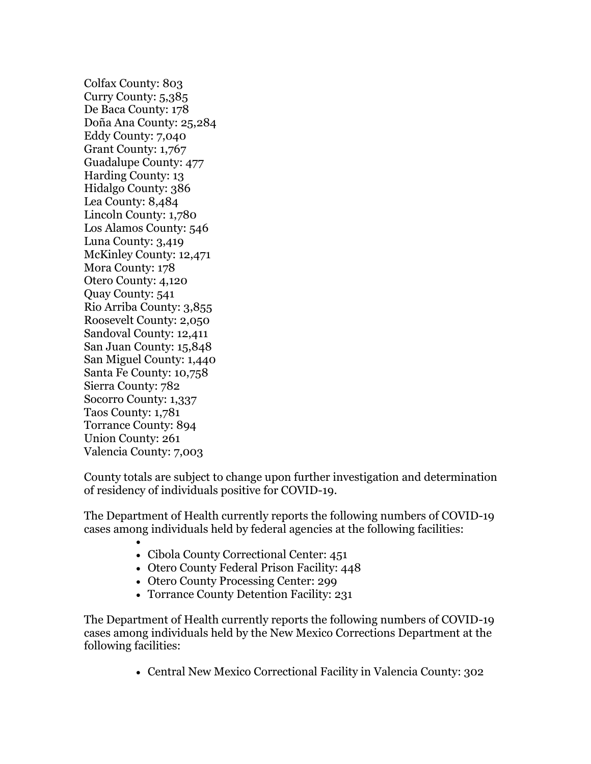Colfax County: 803 Curry County: 5,385 De Baca County: 178 Doña Ana County: 25,284 Eddy County: 7,040 Grant County: 1,767 Guadalupe County: 477 Harding County: 13 Hidalgo County: 386 Lea County: 8,484 Lincoln County: 1,780 Los Alamos County: 546 Luna County: 3,419 McKinley County: 12,471 Mora County: 178 Otero County: 4,120 Quay County: 541 Rio Arriba County: 3,855 Roosevelt County: 2,050 Sandoval County: 12,411 San Juan County: 15,848 San Miguel County: 1,440 Santa Fe County: 10,758 Sierra County: 782 Socorro County: 1,337 Taos County: 1,781 Torrance County: 894 Union County: 261 Valencia County: 7,003

County totals are subject to change upon further investigation and determination of residency of individuals positive for COVID-19.

The Department of Health currently reports the following numbers of COVID-19 cases among individuals held by federal agencies at the following facilities:

- • Cibola County Correctional Center: 451
- Otero County Federal Prison Facility: 448
- Otero County Processing Center: 299
- Torrance County Detention Facility: 231

The Department of Health currently reports the following numbers of COVID-19 cases among individuals held by the New Mexico Corrections Department at the following facilities:

• Central New Mexico Correctional Facility in Valencia County: 302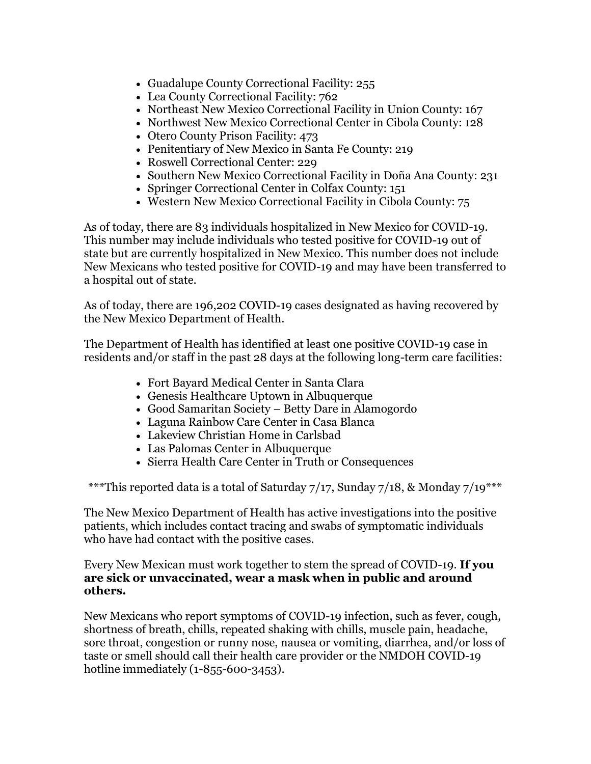- Guadalupe County Correctional Facility: 255
- Lea County Correctional Facility: 762
- Northeast New Mexico Correctional Facility in Union County: 167
- Northwest New Mexico Correctional Center in Cibola County: 128
- Otero County Prison Facility: 473
- Penitentiary of New Mexico in Santa Fe County: 219
- Roswell Correctional Center: 229
- Southern New Mexico Correctional Facility in Doña Ana County: 231
- Springer Correctional Center in Colfax County: 151
- Western New Mexico Correctional Facility in Cibola County: 75

As of today, there are 83 individuals hospitalized in New Mexico for COVID-19. This number may include individuals who tested positive for COVID-19 out of state but are currently hospitalized in New Mexico. This number does not include New Mexicans who tested positive for COVID-19 and may have been transferred to a hospital out of state.

As of today, there are 196,202 COVID-19 cases designated as having recovered by the New Mexico Department of Health.

The Department of Health has identified at least one positive COVID-19 case in residents and/or staff in the past 28 days at the following long-term care facilities:

- Fort Bayard Medical Center in Santa Clara
- Genesis Healthcare Uptown in Albuquerque
- Good Samaritan Society Betty Dare in Alamogordo
- Laguna Rainbow Care Center in Casa Blanca
- Lakeview Christian Home in Carlsbad
- Las Palomas Center in Albuquerque
- Sierra Health Care Center in Truth or Consequences

\*\*\*This reported data is a total of Saturday 7/17, Sunday 7/18, & Monday 7/19\*\*\*

The New Mexico Department of Health has active investigations into the positive patients, which includes contact tracing and swabs of symptomatic individuals who have had contact with the positive cases.

## Every New Mexican must work together to stem the spread of COVID-19. **If you are sick or unvaccinated, wear a mask when in public and around others.**

New Mexicans who report symptoms of COVID-19 infection, such as fever, cough, shortness of breath, chills, repeated shaking with chills, muscle pain, headache, sore throat, congestion or runny nose, nausea or vomiting, diarrhea, and/or loss of taste or smell should call their health care provider or the NMDOH COVID-19 hotline immediately (1-855-600-3453).